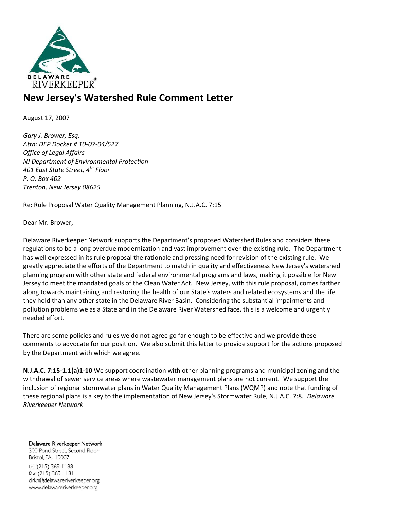

## **New Jersey's Watershed Rule Comment Letter**

August 17, 2007

*Gary J. Brower, Esq. Attn: DEP Docket # 10-07-04/527 Office of Legal Affairs NJ Department of Environmental Protection 401 East State Street, 4th Floor P. O. Box 402 Trenton, New Jersey 08625*

Re: Rule Proposal Water Quality Management Planning, N.J.A.C. 7:15

Dear Mr. Brower,

Delaware Riverkeeper Network supports the Department's proposed Watershed Rules and considers these regulations to be a long overdue modernization and vast improvement over the existing rule. The Department has well expressed in its rule proposal the rationale and pressing need for revision of the existing rule. We greatly appreciate the efforts of the Department to match in quality and effectiveness New Jersey's watershed planning program with other state and federal environmental programs and laws, making it possible for New Jersey to meet the mandated goals of the Clean Water Act. New Jersey, with this rule proposal, comes farther along towards maintaining and restoring the health of our State's waters and related ecosystems and the life they hold than any other state in the Delaware River Basin. Considering the substantial impairments and pollution problems we as a State and in the Delaware River Watershed face, this is a welcome and urgently needed effort.

There are some policies and rules we do not agree go far enough to be effective and we provide these comments to advocate for our position. We also submit this letter to provide support for the actions proposed by the Department with which we agree.

**N.J.A.C. 7:15-1.1(a)1-10** We support coordination with other planning programs and municipal zoning and the withdrawal of sewer service areas where wastewater management plans are not current. We support the inclusion of regional stormwater plans in Water Quality Management Plans (WQMP) and note that funding of these regional plans is a key to the implementation of New Jersey's Stormwater Rule, N.J.A.C. 7:8. *Delaware Riverkeeper Network*

Delaware Riverkeeper Network 300 Pond Street, Second Floor Bristol, PA 19007 tel: (215) 369-1188 fax: (215) 369-1181 drkn@delawareriverkeeper.org www.delawareriverkeeper.org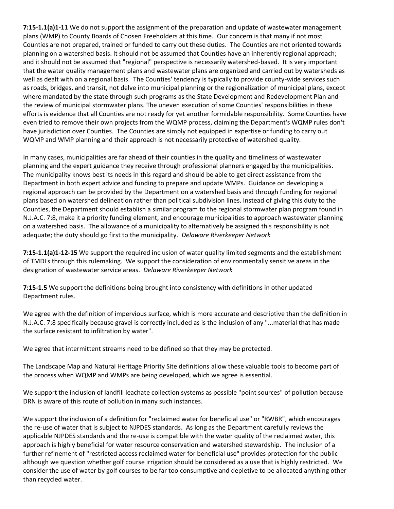**7:15-1.1(a)1-11** We do not support the assignment of the preparation and update of wastewater management plans (WMP) to County Boards of Chosen Freeholders at this time. Our concern is that many if not most Counties are not prepared, trained or funded to carry out these duties. The Counties are not oriented towards planning on a watershed basis. It should not be assumed that Counties have an inherently regional approach; and it should not be assumed that "regional" perspective is necessarily watershed-based. It is very important that the water quality management plans and wastewater plans are organized and carried out by watersheds as well as dealt with on a regional basis. The Counties' tendency is typically to provide county-wide services such as roads, bridges, and transit, not delve into municipal planning or the regionalization of municipal plans, except where mandated by the state through such programs as the State Development and Redevelopment Plan and the review of municipal stormwater plans. The uneven execution of some Counties' responsibilities in these efforts is evidence that all Counties are not ready for yet another formidable responsibility. Some Counties have even tried to remove their own projects from the WQMP process, claiming the Department's WQMP rules don't have jurisdiction over Counties. The Counties are simply not equipped in expertise or funding to carry out WQMP and WMP planning and their approach is not necessarily protective of watershed quality.

In many cases, municipalities are far ahead of their counties in the quality and timeliness of wastewater planning and the expert guidance they receive through professional planners engaged by the municipalities. The municipality knows best its needs in this regard and should be able to get direct assistance from the Department in both expert advice and funding to prepare and update WMPs. Guidance on developing a regional approach can be provided by the Department on a watershed basis and through funding for regional plans based on watershed delineation rather than political subdivision lines. Instead of giving this duty to the Counties, the Department should establish a similar program to the regional stormwater plan program found in N.J.A.C. 7:8, make it a priority funding element, and encourage municipalities to approach wastewater planning on a watershed basis. The allowance of a municipality to alternatively be assigned this responsibility is not adequate; the duty should go first to the municipality. *Delaware Riverkeeper Network*

**7:15-1.1(a)1-12-15** We support the required inclusion of water quality limited segments and the establishment of TMDLs through this rulemaking. We support the consideration of environmentally sensitive areas in the designation of wastewater service areas. *Delaware Riverkeeper Network*

**7:15-1.5** We support the definitions being brought into consistency with definitions in other updated Department rules.

We agree with the definition of impervious surface, which is more accurate and descriptive than the definition in N.J.A.C. 7:8 specifically because gravel is correctly included as is the inclusion of any "...material that has made the surface resistant to infiltration by water".

We agree that intermittent streams need to be defined so that they may be protected.

The Landscape Map and Natural Heritage Priority Site definitions allow these valuable tools to become part of the process when WQMP and WMPs are being developed, which we agree is essential.

We support the inclusion of landfill leachate collection systems as possible "point sources" of pollution because DRN is aware of this route of pollution in many such instances.

We support the inclusion of a definition for "reclaimed water for beneficial use" or "RWBR", which encourages the re-use of water that is subject to NJPDES standards. As long as the Department carefully reviews the applicable NJPDES standards and the re-use is compatible with the water quality of the reclaimed water, this approach is highly beneficial for water resource conservation and watershed stewardship. The inclusion of a further refinement of "restricted access reclaimed water for beneficial use" provides protection for the public although we question whether golf course irrigation should be considered as a use that is highly restricted. We consider the use of water by golf courses to be far too consumptive and depletive to be allocated anything other than recycled water.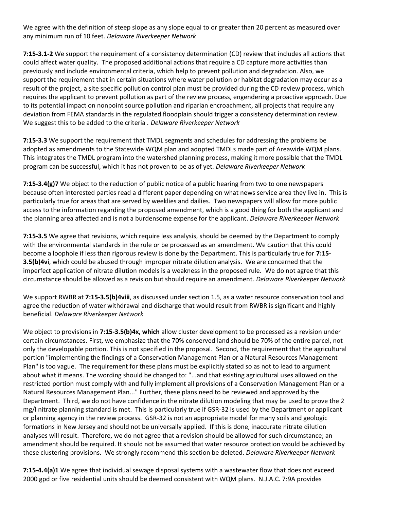We agree with the definition of steep slope as any slope equal to or greater than 20 percent as measured over any minimum run of 10 feet. *Delaware Riverkeeper Network*

**7:15-3.1-2** We support the requirement of a consistency determination (CD) review that includes all actions that could affect water quality. The proposed additional actions that require a CD capture more activities than previously and include environmental criteria, which help to prevent pollution and degradation. Also, we support the requirement that in certain situations where water pollution or habitat degradation may occur as a result of the project, a site specific pollution control plan must be provided during the CD review process, which requires the applicant to prevent pollution as part of the review process, engendering a proactive approach. Due to its potential impact on nonpoint source pollution and riparian encroachment, all projects that require any deviation from FEMA standards in the regulated floodplain should trigger a consistency determination review. We suggest this to be added to the criteria . *Delaware Riverkeeper Network*

**7:15-3.3** We support the requirement that TMDL segments and schedules for addressing the problems be adopted as amendments to the Statewide WQM plan and adopted TMDLs made part of Areawide WQM plans. This integrates the TMDL program into the watershed planning process, making it more possible that the TMDL program can be successful, which it has not proven to be as of yet. *Delaware Riverkeeper Network*

**7:15-3.4(g)7** We object to the reduction of public notice of a public hearing from two to one newspapers because often interested parties read a different paper depending on what news service area they live in. This is particularly true for areas that are served by weeklies and dailies. Two newspapers will allow for more public access to the information regarding the proposed amendment, which is a good thing for both the applicant and the planning area affected and is not a burdensome expense for the applicant. *Delaware Riverkeeper Network*

**7:15-3.5** We agree that revisions, which require less analysis, should be deemed by the Department to comply with the environmental standards in the rule or be processed as an amendment. We caution that this could become a loophole if less than rigorous review is done by the Department. This is particularly true for **7:15- 3.5(b)4vi**, which could be abused through improper nitrate dilution analysis. We are concerned that the imperfect application of nitrate dilution models is a weakness in the proposed rule. We do not agree that this circumstance should be allowed as a revision but should require an amendment. *Delaware Riverkeeper Network*

We support RWBR at **7:15-3.5(b)4viii**, as discussed under section 1.5, as a water resource conservation tool and agree the reduction of water withdrawal and discharge that would result from RWBR is significant and highly beneficial. *Delaware Riverkeeper Network*

We object to provisions in **7:15-3.5(b)4x, which** allow cluster development to be processed as a revision under certain circumstances. First, we emphasize that the 70% conserved land should be 70% of the entire parcel, not only the developable portion. This is not specified in the proposal. Second, the requirement that the agricultural portion "implementing the findings of a Conservation Management Plan or a Natural Resources Management Plan" is too vague. The requirement for these plans must be explicitly stated so as not to lead to argument about what it means. The wording should be changed to: "...and that existing agricultural uses allowed on the restricted portion must comply with and fully implement all provisions of a Conservation Management Plan or a Natural Resources Management Plan..." Further, these plans need to be reviewed and approved by the Department. Third, we do not have confidence in the nitrate dilution modeling that may be used to prove the 2 mg/l nitrate planning standard is met. This is particularly true if GSR-32 is used by the Department or applicant or planning agency in the review process. GSR-32 is not an appropriate model for many soils and geologic formations in New Jersey and should not be universally applied. If this is done, inaccurate nitrate dilution analyses will result. Therefore, we do not agree that a revision should be allowed for such circumstance; an amendment should be required. It should not be assumed that water resource protection would be achieved by these clustering provisions. We strongly recommend this section be deleted. *Delaware Riverkeeper Network*

**7:15-4.4(a)1** We agree that individual sewage disposal systems with a wastewater flow that does not exceed 2000 gpd or five residential units should be deemed consistent with WQM plans. N.J.A.C. 7:9A provides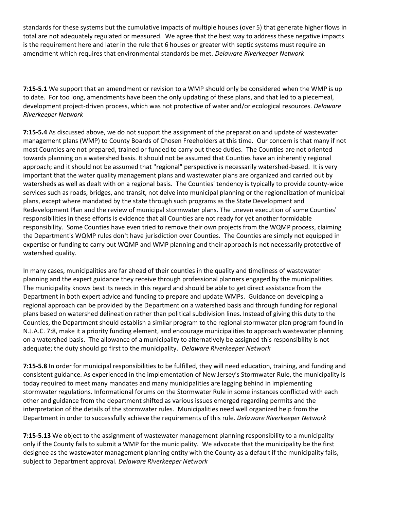standards for these systems but the cumulative impacts of multiple houses (over 5) that generate higher flows in total are not adequately regulated or measured. We agree that the best way to address these negative impacts is the requirement here and later in the rule that 6 houses or greater with septic systems must require an amendment which requires that environmental standards be met. *Delaware Riverkeeper Network*

**7:15-5.1** We support that an amendment or revision to a WMP should only be considered when the WMP is up to date. For too long, amendments have been the only updating of these plans, and that led to a piecemeal, development project-driven process, which was not protective of water and/or ecological resources. *Delaware Riverkeeper Network*

**7:15-5.4** As discussed above, we do not support the assignment of the preparation and update of wastewater management plans (WMP) to County Boards of Chosen Freeholders at this time. Our concern is that many if not most Counties are not prepared, trained or funded to carry out these duties. The Counties are not oriented towards planning on a watershed basis. It should not be assumed that Counties have an inherently regional approach; and it should not be assumed that "regional" perspective is necessarily watershed-based. It is very important that the water quality management plans and wastewater plans are organized and carried out by watersheds as well as dealt with on a regional basis. The Counties' tendency is typically to provide county-wide services such as roads, bridges, and transit, not delve into municipal planning or the regionalization of municipal plans, except where mandated by the state through such programs as the State Development and Redevelopment Plan and the review of municipal stormwater plans. The uneven execution of some Counties' responsibilities in these efforts is evidence that all Counties are not ready for yet another formidable responsibility. Some Counties have even tried to remove their own projects from the WQMP process, claiming the Department's WQMP rules don't have jurisdiction over Counties. The Counties are simply not equipped in expertise or funding to carry out WQMP and WMP planning and their approach is not necessarily protective of watershed quality.

In many cases, municipalities are far ahead of their counties in the quality and timeliness of wastewater planning and the expert guidance they receive through professional planners engaged by the municipalities. The municipality knows best its needs in this regard and should be able to get direct assistance from the Department in both expert advice and funding to prepare and update WMPs. Guidance on developing a regional approach can be provided by the Department on a watershed basis and through funding for regional plans based on watershed delineation rather than political subdivision lines. Instead of giving this duty to the Counties, the Department should establish a similar program to the regional stormwater plan program found in N.J.A.C. 7:8, make it a priority funding element, and encourage municipalities to approach wastewater planning on a watershed basis. The allowance of a municipality to alternatively be assigned this responsibility is not adequate; the duty should go first to the municipality. *Delaware Riverkeeper Network*

**7:15-5.8** In order for municipal responsibilities to be fulfilled, they will need education, training, and funding and consistent guidance. As experienced in the implementation of New Jersey's Stormwater Rule, the municipality is today required to meet many mandates and many municipalities are lagging behind in implementing stormwater regulations. Informational forums on the Stormwater Rule in some instances conflicted with each other and guidance from the department shifted as various issues emerged regarding permits and the interpretation of the details of the stormwater rules. Municipalities need well organized help from the Department in order to successfully achieve the requirements of this rule. *Delaware Riverkeeper Network*

**7:15-5.13** We object to the assignment of wastewater management planning responsibility to a municipality only if the County fails to submit a WMP for the municipality. We advocate that the municipality be the first designee as the wastewater management planning entity with the County as a default if the municipality fails, subject to Department approval. *Delaware Riverkeeper Network*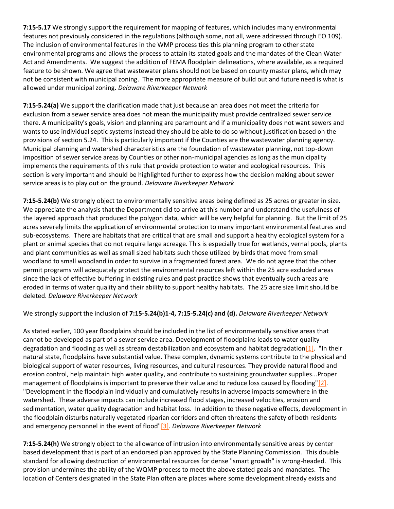**7:15-5.17** We strongly support the requirement for mapping of features, which includes many environmental features not previously considered in the regulations (although some, not all, were addressed through EO 109). The inclusion of environmental features in the WMP process ties this planning program to other state environmental programs and allows the process to attain its stated goals and the mandates of the Clean Water Act and Amendments. We suggest the addition of FEMA floodplain delineations, where available, as a required feature to be shown. We agree that wastewater plans should not be based on county master plans, which may not be consistent with municipal zoning. The more appropriate measure of build out and future need is what is allowed under municipal zoning. *Delaware Riverkeeper Network*

**7:15-5.24(a)** We support the clarification made that just because an area does not meet the criteria for exclusion from a sewer service area does not mean the municipality must provide centralized sewer service there. A municipality's goals, vision and planning are paramount and if a municipality does not want sewers and wants to use individual septic systems instead they should be able to do so without justification based on the provisions of section 5.24. This is particularly important if the Counties are the wastewater planning agency. Municipal planning and watershed characteristics are the foundation of wastewater planning, not top-down imposition of sewer service areas by Counties or other non-municipal agencies as long as the municipality implements the requirements of this rule that provide protection to water and ecological resources. This section is very important and should be highlighted further to express how the decision making about sewer service areas is to play out on the ground. *Delaware Riverkeeper Network*

**7:15-5.24(b)** We strongly object to environmentally sensitive areas being defined as 25 acres or greater in size. We appreciate the analysis that the Department did to arrive at this number and understand the usefulness of the layered approach that produced the polygon data, which will be very helpful for planning. But the limit of 25 acres severely limits the application of environmental protection to many important environmental features and sub-ecosystems. There are habitats that are critical that are small and support a healthy ecological system for a plant or animal species that do not require large acreage. This is especially true for wetlands, vernal pools, plants and plant communities as well as small sized habitats such those utilized by birds that move from small woodland to small woodland in order to survive in a fragmented forest area. We do not agree that the other permit programs will adequately protect the environmental resources left within the 25 acre excluded areas since the lack of effective buffering in existing rules and past practice shows that eventually such areas are eroded in terms of water quality and their ability to support healthy habitats. The 25 acre size limit should be deleted. *Delaware Riverkeeper Network*

We strongly support the inclusion of **7:15-5.24(b)1-4, 7:15-5.24(c) and (d).** *Delaware Riverkeeper Network*

As stated earlier, 100 year floodplains should be included in the list of environmentally sensitive areas that cannot be developed as part of a sewer service area. Development of floodplains leads to water quality degradation and flooding as well as stream destabilization and ecosystem and habitat degradatio[n\[1\].](http://delawareriverkeeper.org/newsresources/factsheet.asp?ID=52#_ftn1) "In their natural state, floodplains have substantial value. These complex, dynamic systems contribute to the physical and biological support of water resources, living resources, and cultural resources. They provide natural flood and erosion control, help maintain high water quality, and contribute to sustaining groundwater supplies...Proper management of floodplains is important to preserve their value and to reduce loss caused by flooding["\[2\].](http://delawareriverkeeper.org/newsresources/factsheet.asp?ID=52#_ftn2) "Development in the floodplain individually and cumulatively results in adverse impacts somewhere in the watershed. These adverse impacts can include increased flood stages, increased velocities, erosion and sedimentation, water quality degradation and habitat loss. In addition to these negative effects, development in the floodplain disturbs naturally vegetated riparian corridors and often threatens the safety of both residents and emergency personnel in the event of flood["\[3\].](http://delawareriverkeeper.org/newsresources/factsheet.asp?ID=52#_ftn3) *Delaware Riverkeeper Network*

**7:15-5.24(h)** We strongly object to the allowance of intrusion into environmentally sensitive areas by center based development that is part of an endorsed plan approved by the State Planning Commission. This double standard for allowing destruction of environmental resources for dense "smart growth" is wrong-headed. This provision undermines the ability of the WQMP process to meet the above stated goals and mandates. The location of Centers designated in the State Plan often are places where some development already exists and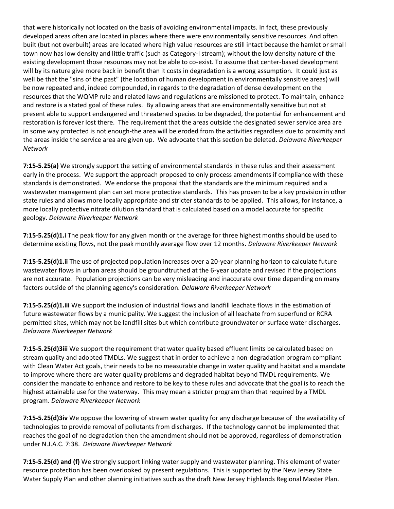that were historically not located on the basis of avoiding environmental impacts. In fact, these previously developed areas often are located in places where there were environmentally sensitive resources. And often built (but not overbuilt) areas are located where high value resources are still intact because the hamlet or small town now has low density and little traffic (such as Category-I stream); without the low density nature of the existing development those resources may not be able to co-exist. To assume that center-based development will by its nature give more back in benefit than it costs in degradation is a wrong assumption. It could just as well be that the "sins of the past" (the location of human development in environmentally sensitive areas) will be now repeated and, indeed compounded, in regards to the degradation of dense development on the resources that the WQMP rule and related laws and regulations are missioned to protect. To maintain, enhance and restore is a stated goal of these rules. By allowing areas that are environmentally sensitive but not at present able to support endangered and threatened species to be degraded, the potential for enhancement and restoration is forever lost there. The requirement that the areas outside the designated sewer service area are in some way protected is not enough-the area will be eroded from the activities regardless due to proximity and the areas inside the service area are given up. We advocate that this section be deleted. *Delaware Riverkeeper Network*

**7:15-5.25(a)** We strongly support the setting of environmental standards in these rules and their assessment early in the process. We support the approach proposed to only process amendments if compliance with these standards is demonstrated. We endorse the proposal that the standards are the minimum required and a wastewater management plan can set more protective standards. This has proven to be a key provision in other state rules and allows more locally appropriate and stricter standards to be applied. This allows, for instance, a more locally protective nitrate dilution standard that is calculated based on a model accurate for specific geology. *Delaware Riverkeeper Network*

**7:15-5.25(d)1.i** The peak flow for any given month or the average for three highest months should be used to determine existing flows, not the peak monthly average flow over 12 months. *Delaware Riverkeeper Network*

**7:15-5.25(d)1.ii** The use of projected population increases over a 20-year planning horizon to calculate future wastewater flows in urban areas should be groundtruthed at the 6-year update and revised if the projections are not accurate. Population projections can be very misleading and inaccurate over time depending on many factors outside of the planning agency's consideration. *Delaware Riverkeeper Network*

**7:15-5.25(d)1.iii** We support the inclusion of industrial flows and landfill leachate flows in the estimation of future wastewater flows by a municipality. We suggest the inclusion of all leachate from superfund or RCRA permitted sites, which may not be landfill sites but which contribute groundwater or surface water discharges. *Delaware Riverkeeper Network*

**7:15-5.25(d)3iii** We support the requirement that water quality based effluent limits be calculated based on stream quality and adopted TMDLs. We suggest that in order to achieve a non-degradation program compliant with Clean Water Act goals, their needs to be no measurable change in water quality and habitat and a mandate to improve where there are water quality problems and degraded habitat beyond TMDL requirements. We consider the mandate to enhance and restore to be key to these rules and advocate that the goal is to reach the highest attainable use for the waterway. This may mean a stricter program than that required by a TMDL program. *Delaware Riverkeeper Network*

**7:15-5.25(d)3iv** We oppose the lowering of stream water quality for any discharge because of the availability of technologies to provide removal of pollutants from discharges. If the technology cannot be implemented that reaches the goal of no degradation then the amendment should not be approved, regardless of demonstration under N.J.A.C. 7:38. *Delaware Riverkeeper Network*

**7:15-5.25(d) and (f)** We strongly support linking water supply and wastewater planning. This element of water resource protection has been overlooked by present regulations. This is supported by the New Jersey State Water Supply Plan and other planning initiatives such as the draft New Jersey Highlands Regional Master Plan.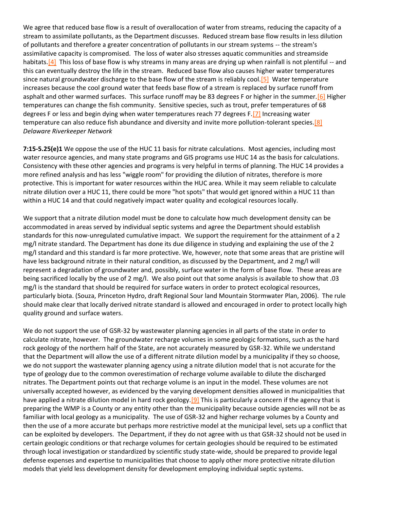We agree that reduced base flow is a result of overallocation of water from streams, reducing the capacity of a stream to assimilate pollutants, as the Department discusses. Reduced stream base flow results in less dilution of pollutants and therefore a greater concentration of pollutants in our stream systems -- the stream's assimilative capacity is compromised. The loss of water also stresses aquatic communities and streamside habitats.<sup>[4]</sup> This loss of base flow is why streams in many areas are drying up when rainfall is not plentiful -- and this can eventually destroy the life in the stream. Reduced base flow also causes higher water temperatures since natural groundwater discharge to the base flow of the stream is reliably cool.<sup>[5]</sup> Water temperature increases because the cool ground water that feeds base flow of a stream is replaced by surface runoff from asphalt and other warmed surfaces. This surface runoff may be 83 degrees F or higher in the summer[.\[6\]](http://delawareriverkeeper.org/newsresources/factsheet.asp?ID=52#_ftn6) Higher temperatures can change the fish community. Sensitive species, such as trout, prefer temperatures of 68 degrees F or less and begin dying when water temperatures reach 77 degrees F[.\[7\]](http://delawareriverkeeper.org/newsresources/factsheet.asp?ID=52#_ftn7) Increasing water temperature can also reduce fish abundance and diversity and invite more pollution-tolerant species[.\[8\]](http://delawareriverkeeper.org/newsresources/factsheet.asp?ID=52#_ftn8) *Delaware Riverkeeper Network*

**7:15-5.25(e)1** We oppose the use of the HUC 11 basis for nitrate calculations. Most agencies, including most water resource agencies, and many state programs and GIS programs use HUC 14 as the basis for calculations. Consistency with these other agencies and programs is very helpful in terms of planning. The HUC 14 provides a more refined analysis and has less "wiggle room" for providing the dilution of nitrates, therefore is more protective. This is important for water resources within the HUC area. While it may seem reliable to calculate nitrate dilution over a HUC 11, there could be more "hot spots" that would get ignored within a HUC 11 than within a HUC 14 and that could negatively impact water quality and ecological resources locally.

We support that a nitrate dilution model must be done to calculate how much development density can be accommodated in areas served by individual septic systems and agree the Department should establish standards for this now-unregulated cumulative impact. We support the requirement for the attainment of a 2 mg/l nitrate standard. The Department has done its due diligence in studying and explaining the use of the 2 mg/l standard and this standard is far more protective. We, however, note that some areas that are pristine will have less background nitrate in their natural condition, as discussed by the Department, and 2 mg/l will represent a degradation of groundwater and, possibly, surface water in the form of base flow. These areas are being sacrificed locally by the use of 2 mg/l. We also point out that some analysis is available to show that .03 mg/l is the standard that should be required for surface waters in order to protect ecological resources, particularly biota. (Souza, Princeton Hydro, draft Regional Sour land Mountain Stormwater Plan, 2006). The rule should make clear that locally derived nitrate standard is allowed and encouraged in order to protect locally high quality ground and surface waters.

We do not support the use of GSR-32 by wastewater planning agencies in all parts of the state in order to calculate nitrate, however. The groundwater recharge volumes in some geologic formations, such as the hard rock geology of the northern half of the State, are not accurately measured by GSR-32. While we understand that the Department will allow the use of a different nitrate dilution model by a municipality if they so choose, we do not support the wastewater planning agency using a nitrate dilution model that is not accurate for the type of geology due to the common overestimation of recharge volume available to dilute the discharged nitrates. The Department points out that recharge volume is an input in the model. These volumes are not universally accepted however, as evidenced by the varying development densities allowed in municipalities that have applied a nitrate dilution model in hard rock geology.<sup>[9]</sup> This is particularly a concern if the agency that is preparing the WMP is a County or any entity other than the municipality because outside agencies will not be as familiar with local geology as a municipality. The use of GSR-32 and higher recharge volumes by a County and then the use of a more accurate but perhaps more restrictive model at the municipal level, sets up a conflict that can be exploited by developers. The Department, if they do not agree with us that GSR-32 should not be used in certain geologic conditions or that recharge volumes for certain geologies should be required to be estimated through local investigation or standardized by scientific study state-wide, should be prepared to provide legal defense expenses and expertise to municipalities that choose to apply other more protective nitrate dilution models that yield less development density for development employing individual septic systems.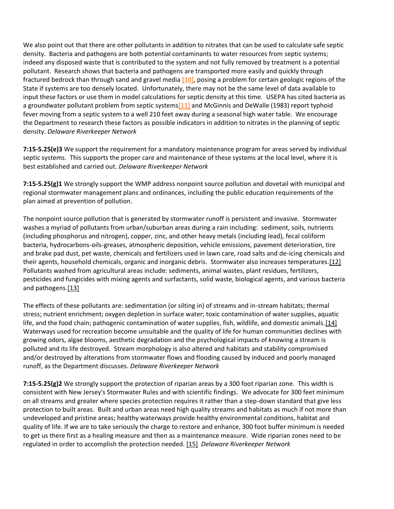We also point out that there are other pollutants in addition to nitrates that can be used to calculate safe septic density. Bacteria and pathogens are both potential contaminants to water resources from septic systems; indeed any disposed waste that is contributed to the system and not fully removed by treatment is a potential pollutant. Research shows that bacteria and pathogens are transported more easily and quickly through fractured bedrock than through sand and gravel media  $[10]$ , posing a problem for certain geologic regions of the State if systems are too densely located. Unfortunately, there may not be the same level of data available to input these factors or use them in model calculations for septic density at this time. USEPA has cited bacteria as a groundwater pollutant problem from septic systems<sup>[11]</sup> and McGinnis and DeWalle (1983) report typhoid fever moving from a septic system to a well 210 feet away during a seasonal high water table. We encourage the Department to research these factors as possible indicators in addition to nitrates in the planning of septic density. *Delaware Riverkeeper Network*

**7:15-5.25(e)3** We support the requirement for a mandatory maintenance program for areas served by individual septic systems. This supports the proper care and maintenance of these systems at the local level, where it is best established and carried out. *Delaware Riverkeeper Network*

**7:15-5.25(g)1** We strongly support the WMP address nonpoint source pollution and dovetail with municipal and regional stormwater management plans and ordinances, including the public education requirements of the plan aimed at prevention of pollution.

The nonpoint source pollution that is generated by stormwater runoff is persistent and invasive. Stormwater washes a myriad of pollutants from urban/suburban areas during a rain including: sediment, soils, nutrients (including phosphorus and nitrogen), copper, zinc, and other heavy metals (including lead), fecal coliform bacteria, hydrocarbons-oils-greases, atmospheric deposition, vehicle emissions, pavement deterioration, tire and brake pad dust, pet waste, chemicals and fertilizers used in lawn care, road salts and de-icing chemicals and their agents, household chemicals, organic and inorganic debris. Stormwater also increases temperatures[.\[12\]](http://delawareriverkeeper.org/newsresources/factsheet.asp?ID=52#_ftn12) Pollutants washed from agricultural areas include: sediments, animal wastes, plant residues, fertilizers, pesticides and fungicides with mixing agents and surfactants, solid waste, biological agents, and various bacteria and pathogens[.\[13\]](http://delawareriverkeeper.org/newsresources/factsheet.asp?ID=52#_ftn13)

The effects of these pollutants are: sedimentation (or silting in) of streams and in-stream habitats; thermal stress; nutrient enrichment; oxygen depletion in surface water; toxic contamination of water supplies, aquatic life, and the food chain; pathogenic contamination of water supplies, fish, wildlife, and domestic animals[.\[14\]](http://delawareriverkeeper.org/newsresources/factsheet.asp?ID=52#_ftn14) Waterways used for recreation become unsuitable and the quality of life for human communities declines with growing odors, algae blooms, aesthetic degradation and the psychological impacts of knowing a stream is polluted and its life destroyed. Stream morphology is also altered and habitats and stability compromised and/or destroyed by alterations from stormwater flows and flooding caused by induced and poorly managed runoff, as the Department discusses. *Delaware Riverkeeper Network*

**7:15-5.25(g)2** We strongly support the protection of riparian areas by a 300 foot riparian zone. This width is consistent with New Jersey's Stormwater Rules and with scientific findings. We advocate for 300 feet minimum on all streams and greater where species protection requires it rather than a step-down standard that give less protection to built areas. Built and urban areas need high quality streams and habitats as much if not more than undeveloped and pristine areas; healthy waterways provide healthy environmental conditions, habitat and quality of life. If we are to take seriously the charge to restore and enhance, 300 foot buffer minimum is needed to get us there first as a healing measure and then as a maintenance measure. Wide riparian zones need to be regulated in order to accomplish the protection needed. [\[15\]](http://delawareriverkeeper.org/newsresources/factsheet.asp?ID=52#_ftn15) *Delaware Riverkeeper Network*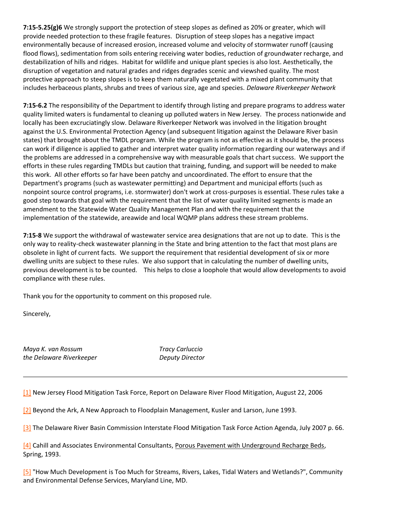**7:15-5.25(g)6** We strongly support the protection of steep slopes as defined as 20% or greater, which will provide needed protection to these fragile features. Disruption of steep slopes has a negative impact environmentally because of increased erosion, increased volume and velocity of stormwater runoff (causing flood flows), sedimentation from soils entering receiving water bodies, reduction of groundwater recharge, and destabilization of hills and ridges. Habitat for wildlife and unique plant species is also lost. Aesthetically, the disruption of vegetation and natural grades and ridges degrades scenic and viewshed quality. The most protective approach to steep slopes is to keep them naturally vegetated with a mixed plant community that includes herbaceous plants, shrubs and trees of various size, age and species. *Delaware Riverkeeper Network*

**7:15-6.2** The responsibility of the Department to identify through listing and prepare programs to address water quality limited waters is fundamental to cleaning up polluted waters in New Jersey. The process nationwide and locally has been excruciatingly slow. Delaware Riverkeeper Network was involved in the litigation brought against the U.S. Environmental Protection Agency (and subsequent litigation against the Delaware River basin states) that brought about the TMDL program. While the program is not as effective as it should be, the process can work if diligence is applied to gather and interpret water quality information regarding our waterways and if the problems are addressed in a comprehensive way with measurable goals that chart success. We support the efforts in these rules regarding TMDLs but caution that training, funding, and support will be needed to make this work. All other efforts so far have been patchy and uncoordinated. The effort to ensure that the Department's programs (such as wastewater permitting) and Department and municipal efforts (such as nonpoint source control programs, i.e. stormwater) don't work at cross-purposes is essential. These rules take a good step towards that goal with the requirement that the list of water quality limited segments is made an amendment to the Statewide Water Quality Management Plan and with the requirement that the implementation of the statewide, areawide and local WQMP plans address these stream problems.

**7:15-8** We support the withdrawal of wastewater service area designations that are not up to date. This is the only way to reality-check wastewater planning in the State and bring attention to the fact that most plans are obsolete in light of current facts. We support the requirement that residential development of six or more dwelling units are subject to these rules. We also support that in calculating the number of dwelling units, previous development is to be counted. This helps to close a loophole that would allow developments to avoid compliance with these rules.

Thank you for the opportunity to comment on this proposed rule.

Sincerely,

*Maya K. van Rossum Tracy Carluccio the Delaware Riverkeeper Deputy Director* 

[\[1\]](http://delawareriverkeeper.org/newsresources/factsheet.asp?ID=52#_ftnref1) New Jersey Flood Mitigation Task Force, Report on Delaware River Flood Mitigation, August 22, 2006

[\[2\]](http://delawareriverkeeper.org/newsresources/factsheet.asp?ID=52#_ftnref2) Beyond the Ark, A New Approach to Floodplain Management, Kusler and Larson, June 1993.

[\[3\]](http://delawareriverkeeper.org/newsresources/factsheet.asp?ID=52#_ftnref3) The Delaware River Basin Commission Interstate Flood Mitigation Task Force Action Agenda, July 2007 p. 66.

[\[4\]](http://delawareriverkeeper.org/newsresources/factsheet.asp?ID=52#_ftnref4) Cahill and Associates Environmental Consultants, Porous Pavement with Underground Recharge Beds, Spring, 1993.

[\[5\]](http://delawareriverkeeper.org/newsresources/factsheet.asp?ID=52#_ftnref5) "How Much Development is Too Much for Streams, Rivers, Lakes, Tidal Waters and Wetlands?", Community and Environmental Defense Services, Maryland Line, MD.